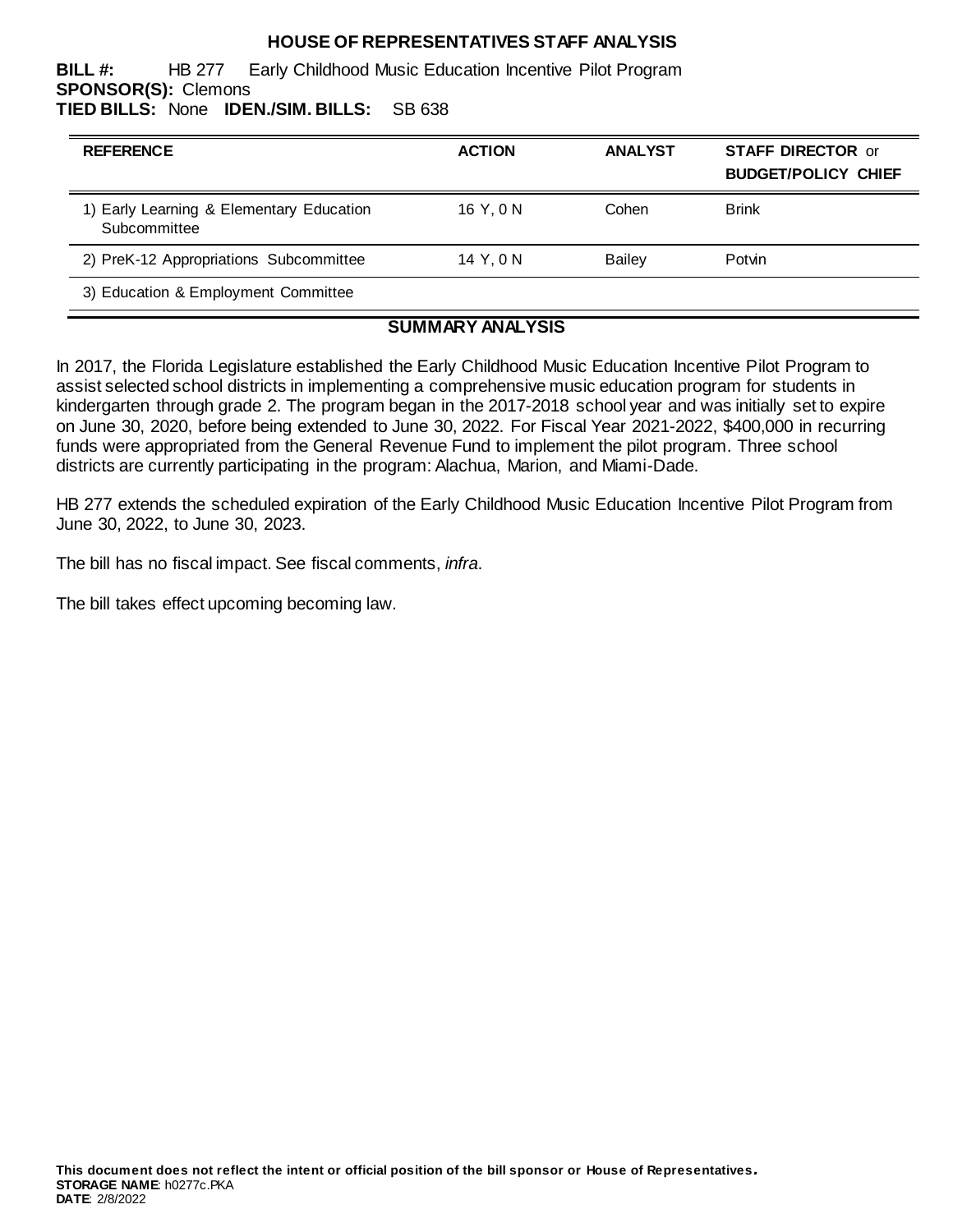## **HOUSE OF REPRESENTATIVES STAFF ANALYSIS**

**BILL #:** HB 277 Early Childhood Music Education Incentive Pilot Program **SPONSOR(S):** Clemons **TIED BILLS:** None **IDEN./SIM. BILLS:** SB 638

| <b>REFERENCE</b>                                         | <b>ACTION</b> | <b>ANALYST</b> | <b>STAFF DIRECTOR or</b><br><b>BUDGET/POLICY CHIEF</b> |
|----------------------------------------------------------|---------------|----------------|--------------------------------------------------------|
| 1) Early Learning & Elementary Education<br>Subcommittee | 16 Y.ON       | Cohen          | <b>Brink</b>                                           |
| 2) PreK-12 Appropriations Subcommittee                   | 14 Y.ON       | <b>Bailey</b>  | Potvin                                                 |
| 3) Education & Employment Committee                      |               |                |                                                        |

## **SUMMARY ANALYSIS**

In 2017, the Florida Legislature established the Early Childhood Music Education Incentive Pilot Program to assist selected school districts in implementing a comprehensive music education program for students in kindergarten through grade 2. The program began in the 2017-2018 school year and was initially set to expire on June 30, 2020, before being extended to June 30, 2022. For Fiscal Year 2021-2022, \$400,000 in recurring funds were appropriated from the General Revenue Fund to implement the pilot program. Three school districts are currently participating in the program: Alachua, Marion, and Miami-Dade.

HB 277 extends the scheduled expiration of the Early Childhood Music Education Incentive Pilot Program from June 30, 2022, to June 30, 2023.

The bill has no fiscal impact. See fiscal comments, *infra*.

The bill takes effect upcoming becoming law.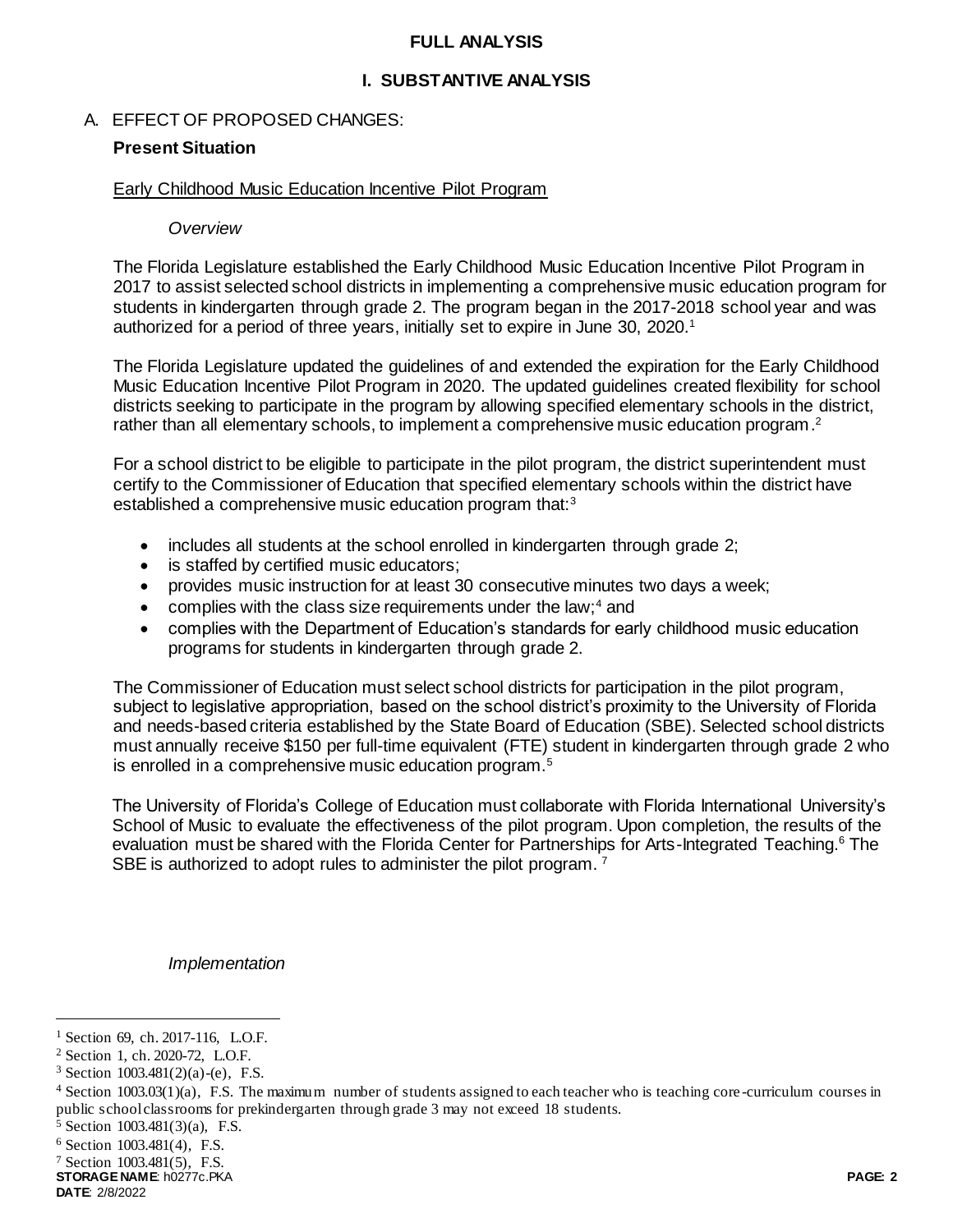#### **FULL ANALYSIS**

## **I. SUBSTANTIVE ANALYSIS**

### A. EFFECT OF PROPOSED CHANGES:

#### **Present Situation**

#### Early Childhood Music Education Incentive Pilot Program

#### *Overview*

The Florida Legislature established the Early Childhood Music Education Incentive Pilot Program in 2017 to assist selected school districts in implementing a comprehensive music education program for students in kindergarten through grade 2. The program began in the 2017-2018 school year and was authorized for a period of three years, initially set to expire in June 30, 2020.<sup>1</sup>

The Florida Legislature updated the guidelines of and extended the expiration for the Early Childhood Music Education Incentive Pilot Program in 2020. The updated guidelines created flexibility for school districts seeking to participate in the program by allowing specified elementary schools in the district, rather than all elementary schools, to implement a comprehensive music education program.<sup>2</sup>

For a school district to be eligible to participate in the pilot program, the district superintendent must certify to the Commissioner of Education that specified elementary schools within the district have established a comprehensive music education program that:<sup>3</sup>

- includes all students at the school enrolled in kindergarten through grade 2;
- is staffed by certified music educators;
- provides music instruction for at least 30 consecutive minutes two days a week;
- complies with the class size requirements under the law; $4$  and
- complies with the Department of Education's standards for early childhood music education programs for students in kindergarten through grade 2.

The Commissioner of Education must select school districts for participation in the pilot program, subject to legislative appropriation, based on the school district's proximity to the University of Florida and needs-based criteria established by the State Board of Education (SBE). Selected school districts must annually receive \$150 per full-time equivalent (FTE) student in kindergarten through grade 2 who is enrolled in a comprehensive music education program.<sup>5</sup>

The University of Florida's College of Education must collaborate with Florida International University's School of Music to evaluate the effectiveness of the pilot program. Upon completion, the results of the evaluation must be shared with the Florida Center for Partnerships for Arts-Integrated Teaching.<sup>6</sup> The SBE is authorized to adopt rules to administer the pilot program.<sup>7</sup>

*Implementation* 

**STORAGE NAME**: h0277c.PKA **PAGE: 2**

l

<sup>&</sup>lt;sup>1</sup> Section 69, ch. 2017-116, L.O.F.

<sup>2</sup> Section 1, ch. 2020-72, L.O.F.

<sup>&</sup>lt;sup>3</sup> Section  $1003.481(2)(a)-(e)$ , F.S.

 $4$  Section 1003.03(1)(a), F.S. The maximum number of students assigned to each teacher who is teaching core-curriculum courses in public school classrooms for prekindergarten through grade 3 may not exceed 18 students.

<sup>5</sup> Section 1003.481(3)(a), F.S.

<sup>6</sup> Section 1003.481(4), F.S.

<sup>7</sup> Section 1003.481(5), F.S.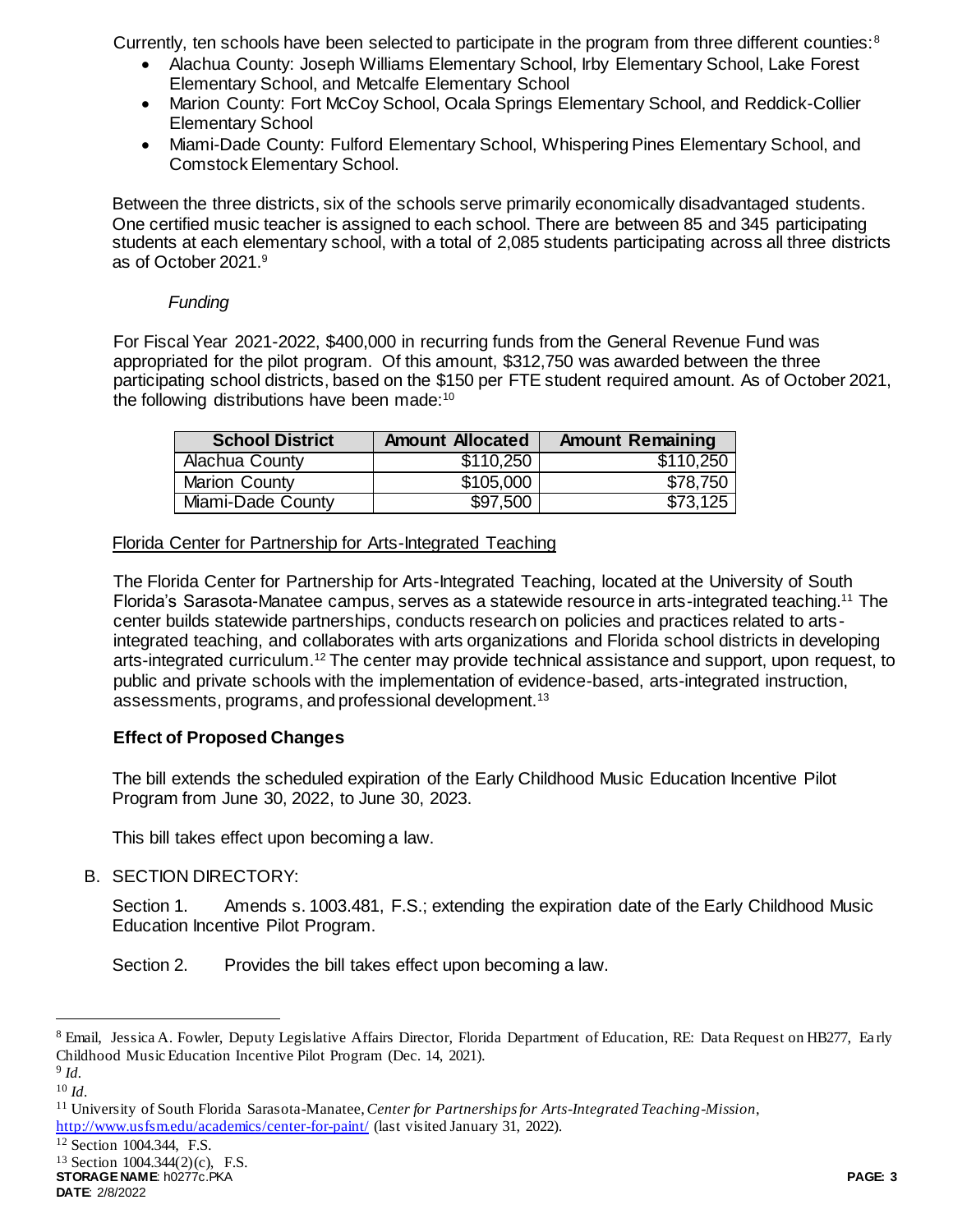Currently, ten schools have been selected to participate in the program from three different counties:<sup>8</sup>

- Alachua County: Joseph Williams Elementary School, Irby Elementary School, Lake Forest Elementary School, and Metcalfe Elementary School
- Marion County: Fort McCoy School, Ocala Springs Elementary School, and Reddick-Collier Elementary School
- Miami-Dade County: Fulford Elementary School, Whispering Pines Elementary School, and Comstock Elementary School.

Between the three districts, six of the schools serve primarily economically disadvantaged students. One certified music teacher is assigned to each school. There are between 85 and 345 participating students at each elementary school, with a total of 2,085 students participating across all three districts as of October 2021.<sup>9</sup>

## *Funding*

For Fiscal Year 2021-2022, \$400,000 in recurring funds from the General Revenue Fund was appropriated for the pilot program. Of this amount, \$312,750 was awarded between the three participating school districts, based on the \$150 per FTE student required amount. As of October 2021, the following distributions have been made:<sup>10</sup>

| <b>School District</b> | <b>Amount Allocated</b> | <b>Amount Remaining</b> |
|------------------------|-------------------------|-------------------------|
| Alachua County         | \$110,250               | \$110,250               |
| <b>Marion County</b>   | \$105,000               | \$78,750                |
| Miami-Dade County      | \$97,500                | \$73,125                |

Florida Center for Partnership for Arts-Integrated Teaching

The Florida Center for Partnership for Arts-Integrated Teaching, located at the University of South Florida's Sarasota-Manatee campus, serves as a statewide resource in arts-integrated teaching.<sup>11</sup> The center builds statewide partnerships, conducts research on policies and practices related to artsintegrated teaching, and collaborates with arts organizations and Florida school districts in developing arts-integrated curriculum.<sup>12</sup> The center may provide technical assistance and support, upon request, to public and private schools with the implementation of evidence-based, arts-integrated instruction, assessments, programs, and professional development.<sup>13</sup>

## **Effect of Proposed Changes**

The bill extends the scheduled expiration of the Early Childhood Music Education Incentive Pilot Program from June 30, 2022, to June 30, 2023.

This bill takes effect upon becoming a law.

B. SECTION DIRECTORY:

Section 1. Amends s. 1003.481, F.S.; extending the expiration date of the Early Childhood Music Education Incentive Pilot Program.

Section 2. Provides the bill takes effect upon becoming a law.

l

<http://www.usfsm.edu/academics/center-for-paint/> (last visited January 31, 2022).

**STORAGE NAME**: h0277c.PKA **PAGE: 3 DATE**: 2/8/2022

<sup>8</sup> Email, Jessica A. Fowler, Deputy Legislative Affairs Director, Florida Department of Education, RE: Data Request on HB277, Ea rly Childhood Music Education Incentive Pilot Program (Dec. 14, 2021).

<sup>9</sup> *Id.*

<sup>10</sup> *Id.*

<sup>11</sup> University of South Florida Sarasota-Manatee, *Center for Partnerships for Arts-Integrated Teaching-Mission*,

<sup>12</sup> Section 1004.344, F.S.